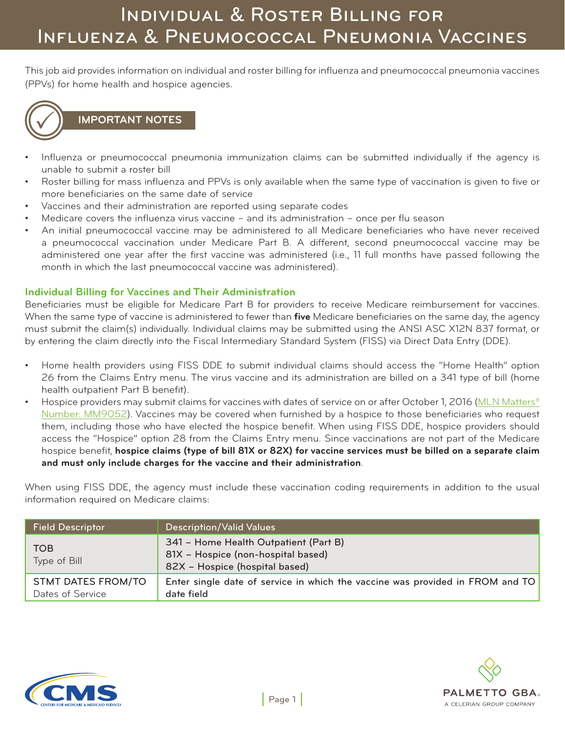This job aid provides information on individual and roster billing for influenza and pneumococcal pneumonia vaccines (PPVs) for home health and hospice agencies.



### **IMPORTANT NOTES**

- Influenza or pneumococcal pneumonia immunization claims can be submitted individually if the agency is unable to submit a roster bill
- Roster billing for mass influenza and PPVs is only available when the same type of vaccination is given to five or more beneficiaries on the same date of service
- Vaccines and their administration are reported using separate codes
- Medicare covers the influenza virus vaccine and its administration once per flu season
- An initial pneumococcal vaccine may be administered to all Medicare beneficiaries who have never received a pneumococcal vaccination under Medicare Part B. A different, second pneumococcal vaccine may be administered one year after the first vaccine was administered (i.e., 11 full months have passed following the month in which the last pneumococcal vaccine was administered).

#### **Individual Billing for Vaccines and Their Administration**

Beneficiaries must be eligible for Medicare Part B for providers to receive Medicare reimbursement for vaccines. When the same type of vaccine is administered to fewer than **five** Medicare beneficiaries on the same day, the agency must submit the claim(s) individually. Individual claims may be submitted using the ANSI ASC X12N 837 format, or by entering the claim directly into the Fiscal Intermediary Standard System (FISS) via Direct Data Entry (DDE).

- Home health providers using FISS DDE to submit individual claims should access the "Home Health" option 26 from the Claims Entry menu. The virus vaccine and its administration are billed on a 341 type of bill (home health outpatient Part B benefit).
- Hospice providers may submit claims for vaccines with dates of service on or after October 1, 2016 ([MLN Matters®](https://www.cms.gov/Outreach-and-Education/Medicare-Learning-Network-MLN/MLNMattersArticles/Downloads/MM9052.pdf) [Number: MM9052\)](https://www.cms.gov/Outreach-and-Education/Medicare-Learning-Network-MLN/MLNMattersArticles/Downloads/MM9052.pdf). Vaccines may be covered when furnished by a hospice to those beneficiaries who request them, including those who have elected the hospice benefit. When using FISS DDE, hospice providers should access the "Hospice" option 28 from the Claims Entry menu. Since vaccinations are not part of the Medicare hospice benefit, **hospice claims (type of bill 81X or 82X) for vaccine services must be billed on a separate claim and must only include charges for the vaccine and their administration**.

When using FISS DDE, the agency must include these vaccination coding requirements in addition to the usual information required on Medicare claims:

| <b>Field Descriptor</b>                       | <b>Description/Valid Values</b>                                                                               |
|-----------------------------------------------|---------------------------------------------------------------------------------------------------------------|
| <b>TOB</b><br>Type of Bill                    | 341 - Home Health Outpatient (Part B)<br>81X - Hospice (non-hospital based)<br>82X - Hospice (hospital based) |
| <b>STMT DATES FROM/TO</b><br>Dates of Service | Enter single date of service in which the vaccine was provided in FROM and TO<br>date field                   |



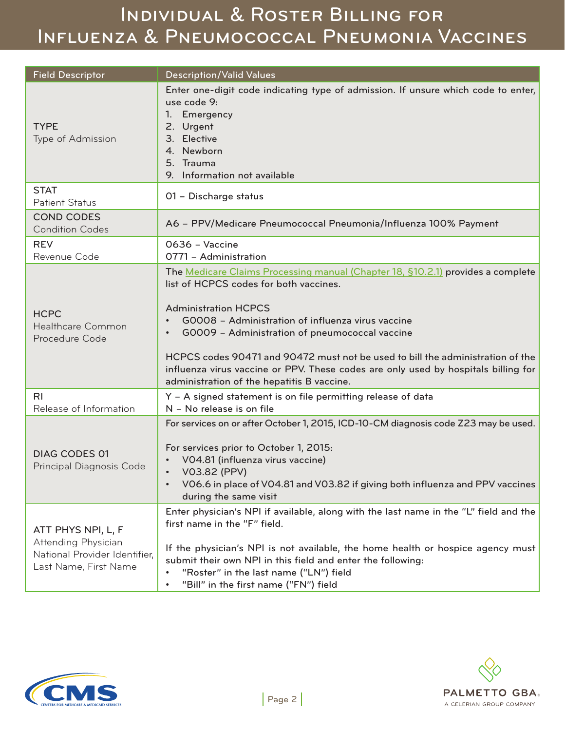# Individual & Roster Billing for Influenza & Pneumococcal Pneumonia Vaccines

| <b>Field Descriptor</b>                                                                             | <b>Description/Valid Values</b>                                                                                                                                                                                                                                                                                                                                                                                                                                                                    |
|-----------------------------------------------------------------------------------------------------|----------------------------------------------------------------------------------------------------------------------------------------------------------------------------------------------------------------------------------------------------------------------------------------------------------------------------------------------------------------------------------------------------------------------------------------------------------------------------------------------------|
| <b>TYPE</b><br>Type of Admission                                                                    | Enter one-digit code indicating type of admission. If unsure which code to enter,<br>use code 9:<br>Emergency<br>1.<br>2. Urgent<br>3. Elective<br>4. Newborn<br>5. Trauma<br>Information not available<br>9.                                                                                                                                                                                                                                                                                      |
| <b>STAT</b><br><b>Patient Status</b>                                                                | 01 - Discharge status                                                                                                                                                                                                                                                                                                                                                                                                                                                                              |
| <b>COND CODES</b><br><b>Condition Codes</b>                                                         | A6 - PPV/Medicare Pneumococcal Pneumonia/Influenza 100% Payment                                                                                                                                                                                                                                                                                                                                                                                                                                    |
| <b>REV</b><br>Revenue Code                                                                          | 0636 - Vaccine<br>0771 - Administration                                                                                                                                                                                                                                                                                                                                                                                                                                                            |
| <b>HCPC</b><br>Healthcare Common<br>Procedure Code                                                  | The Medicare Claims Processing manual (Chapter 18, §10.2.1) provides a complete<br>list of HCPCS codes for both vaccines.<br><b>Administration HCPCS</b><br>GOOO8 - Administration of influenza virus vaccine<br>GOOO9 - Administration of pneumococcal vaccine<br>$\bullet$<br>HCPCS codes 90471 and 90472 must not be used to bill the administration of the<br>influenza virus vaccine or PPV. These codes are only used by hospitals billing for<br>administration of the hepatitis B vaccine. |
| R <sub>l</sub><br>Release of Information                                                            | Y - A signed statement is on file permitting release of data<br>N - No release is on file                                                                                                                                                                                                                                                                                                                                                                                                          |
| <b>DIAG CODES 01</b><br>Principal Diagnosis Code                                                    | For services on or after October 1, 2015, ICD-10-CM diagnosis code Z23 may be used.<br>For services prior to October 1, 2015:<br>VO4.81 (influenza virus vaccine)<br>V03.82 (PPV)<br>$\bullet$<br>VO6.6 in place of VO4.81 and VO3.82 if giving both influenza and PPV vaccines<br>during the same visit                                                                                                                                                                                           |
| ATT PHYS NPI, L, F<br>Attending Physician<br>National Provider Identifier,<br>Last Name, First Name | Enter physician's NPI if available, along with the last name in the "L" field and the<br>first name in the "F" field.<br>If the physician's NPI is not available, the home health or hospice agency must<br>submit their own NPI in this field and enter the following:<br>"Roster" in the last name ("LN") field<br>"Bill" in the first name ("FN") field<br>٠                                                                                                                                    |



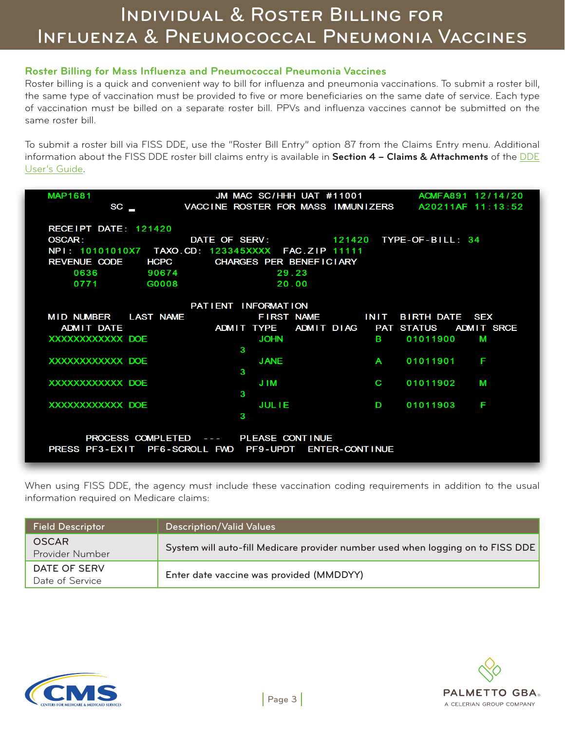#### **Roster Billing for Mass Influenza and Pneumococcal Pneumonia Vaccines**

Roster billing is a quick and convenient way to bill for influenza and pneumonia vaccinations. To submit a roster bill, the same type of vaccination must be provided to five or more beneficiaries on the same date of service. Each type of vaccination must be billed on a separate roster bill. PPVs and influenza vaccines cannot be submitted on the same roster bill.

To submit a roster bill via FISS DDE, use the "Roster Bill Entry" option 87 from the Claims Entry menu. Additional information about the FISS DDE roster bill claims entry is available in **Section 4 – Claims & Attachments** of the [DDE](https://www.palmettogba.com/palmetto/providers.nsf/DocsCat/Providers~JM%20Home%20Health%20and%20Hospice~EDI~Software%20Manuals~A6QQQR5638?open) [User's Guide.](https://www.palmettogba.com/palmetto/providers.nsf/DocsCat/Providers~JM%20Home%20Health%20and%20Hospice~EDI~Software%20Manuals~A6QQQR5638?open)

| <b>MAP1681</b>                            | JM MAC SC/HHH UAT #11001 ACMFA891 12/14/20                              |
|-------------------------------------------|-------------------------------------------------------------------------|
| <b>SC<sub>L</sub></b>                     | VACCINE ROSTER FOR MASS IMMUNIZERS A20211AF 11:13:52                    |
|                                           |                                                                         |
| RECEIPT DATE: 121420                      |                                                                         |
| <b>OSCAR:</b>                             | DATE OF SERV: 121420 TYPE-OF-BILL: 34                                   |
|                                           | NPI: 10101010X7 TAXO.CD: 123345XXXX FAC.ZIP 11111                       |
| REVENUE CODE HCPC CHARGES PER BENEFICIARY |                                                                         |
| 0636<br>90674                             | 29.23                                                                   |
| 0771 G0008                                | 20.00                                                                   |
|                                           |                                                                         |
|                                           | PATIENT INFORMATION                                                     |
| MID NUMBER LAST NAME                      | FIRST NAME INIT<br>BIRTH DATE SEX                                       |
|                                           | ADMIT DATE <b>ADMIT TYPE</b> ADMIT DIAG PAT STATUS<br><b>ADMIT SRCE</b> |
| XXXXXXXXXXX DOE                           | <b>JOHN</b><br>01011900<br><b>B B</b><br><b>M</b>                       |
|                                           | 3                                                                       |
| XXXXXXXXXXXX DOE                          | <b>JANE</b><br>01011901<br>F<br>A                                       |
|                                           | 3                                                                       |
| XXXXXXXXXXX DOE                           | J IM<br>C<br>01011902<br>М<br>3                                         |
| XXXXXXXXXXXX DOE                          | <b>JULIE</b><br>D<br>01011903<br>F                                      |
|                                           | 3                                                                       |
|                                           |                                                                         |
|                                           | PROCESS COMPLETED --- PLEASE CONTINUE                                   |
|                                           | PRESS PF3-EXIT PF6-SCROLL FWD PF9-UPDT ENTER-CONTINUE                   |
|                                           |                                                                         |

When using FISS DDE, the agency must include these vaccination coding requirements in addition to the usual information required on Medicare claims:

| <b>Field Descriptor</b>         | <b>Description/Valid Values</b>                                                 |
|---------------------------------|---------------------------------------------------------------------------------|
| <b>OSCAR</b><br>Provider Number | System will auto-fill Medicare provider number used when logging on to FISS DDE |
| DATE OF SERV<br>Date of Service | Enter date vaccine was provided (MMDDYY)                                        |



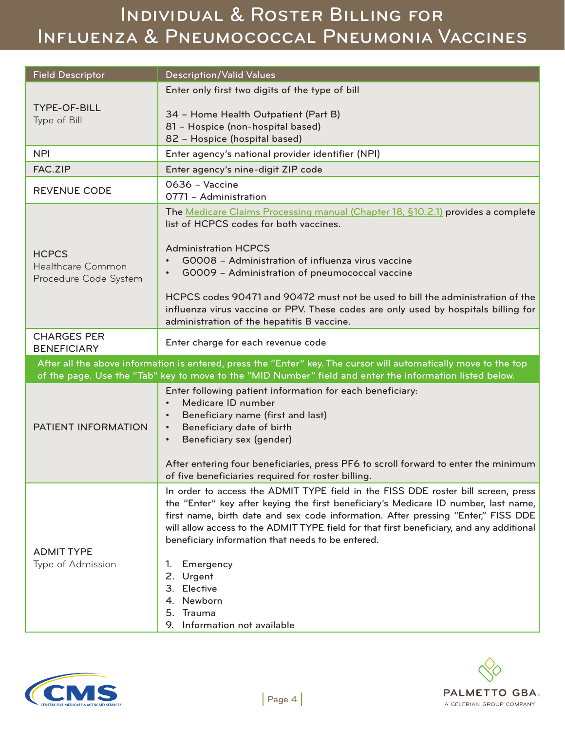# Individual & Roster Billing for Influenza & Pneumococcal Pneumonia Vaccines

| <b>Field Descriptor</b>                                                                                                                                                                                                      | <b>Description/Valid Values</b>                                                                                                                                                                                                                                                                                                                                                                                |  |
|------------------------------------------------------------------------------------------------------------------------------------------------------------------------------------------------------------------------------|----------------------------------------------------------------------------------------------------------------------------------------------------------------------------------------------------------------------------------------------------------------------------------------------------------------------------------------------------------------------------------------------------------------|--|
|                                                                                                                                                                                                                              | Enter only first two digits of the type of bill                                                                                                                                                                                                                                                                                                                                                                |  |
| <b>TYPE-OF-BILL</b><br>Type of Bill                                                                                                                                                                                          | 34 - Home Health Outpatient (Part B)<br>81 - Hospice (non-hospital based)<br>82 - Hospice (hospital based)                                                                                                                                                                                                                                                                                                     |  |
| <b>NPI</b>                                                                                                                                                                                                                   | Enter agency's national provider identifier (NPI)                                                                                                                                                                                                                                                                                                                                                              |  |
| <b>FAC.ZIP</b>                                                                                                                                                                                                               | Enter agency's nine-digit ZIP code                                                                                                                                                                                                                                                                                                                                                                             |  |
| <b>REVENUE CODE</b>                                                                                                                                                                                                          | 0636 - Vaccine<br>0771 - Administration                                                                                                                                                                                                                                                                                                                                                                        |  |
| <b>HCPCS</b><br>Healthcare Common<br>Procedure Code System                                                                                                                                                                   | The Medicare Claims Processing manual (Chapter 18, §10.2.1) provides a complete<br>list of HCPCS codes for both vaccines.                                                                                                                                                                                                                                                                                      |  |
|                                                                                                                                                                                                                              | <b>Administration HCPCS</b><br>GOOO8 - Administration of influenza virus vaccine<br>GOOO9 - Administration of pneumococcal vaccine<br>$\bullet$                                                                                                                                                                                                                                                                |  |
|                                                                                                                                                                                                                              | HCPCS codes 90471 and 90472 must not be used to bill the administration of the<br>influenza virus vaccine or PPV. These codes are only used by hospitals billing for<br>administration of the hepatitis B vaccine.                                                                                                                                                                                             |  |
| <b>CHARGES PER</b><br><b>BENEFICIARY</b>                                                                                                                                                                                     | Enter charge for each revenue code                                                                                                                                                                                                                                                                                                                                                                             |  |
| After all the above information is entered, press the "Enter" key. The cursor will automatically move to the top<br>of the page. Use the "Tab" key to move to the "MID Number" field and enter the information listed below. |                                                                                                                                                                                                                                                                                                                                                                                                                |  |
| PATIENT INFORMATION                                                                                                                                                                                                          | Enter following patient information for each beneficiary:<br>Medicare ID number<br>$\bullet$<br>Beneficiary name (first and last)<br>$\bullet$<br>Beneficiary date of birth<br>$\bullet$<br>Beneficiary sex (gender)<br>$\bullet$                                                                                                                                                                              |  |
|                                                                                                                                                                                                                              | After entering four beneficiaries, press PF6 to scroll forward to enter the minimum<br>of five beneficiaries required for roster billing.                                                                                                                                                                                                                                                                      |  |
| <b>ADMIT TYPE</b>                                                                                                                                                                                                            | In order to access the ADMIT TYPE field in the FISS DDE roster bill screen, press<br>the "Enter" key after keying the first beneficiary's Medicare ID number, last name,<br>first name, birth date and sex code information. After pressing "Enter," FISS DDE<br>will allow access to the ADMIT TYPE field for that first beneficiary, and any additional<br>beneficiary information that needs to be entered. |  |
| Type of Admission                                                                                                                                                                                                            | Emergency<br>1.<br>2. Urgent<br>3. Elective<br>Newborn<br>4.<br>Trauma<br>5.<br>Information not available<br>9.                                                                                                                                                                                                                                                                                                |  |